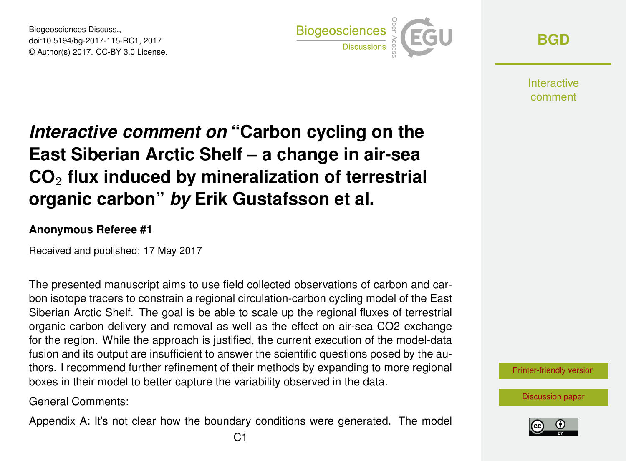Biogeosciences Discuss., doi:10.5194/bg-2017-115-RC1, 2017 © Author(s) 2017. CC-BY 3.0 License.



**[BGD](http://www.biogeosciences-discuss.net/)**

**Interactive** comment

## *Interactive comment on* **"Carbon cycling on the East Siberian Arctic Shelf – a change in air-sea CO**<sup>2</sup> **flux induced by mineralization of terrestrial organic carbon"** *by* **Erik Gustafsson et al.**

## **Anonymous Referee #1**

Received and published: 17 May 2017

The presented manuscript aims to use field collected observations of carbon and carbon isotope tracers to constrain a regional circulation-carbon cycling model of the East Siberian Arctic Shelf. The goal is be able to scale up the regional fluxes of terrestrial organic carbon delivery and removal as well as the effect on air-sea CO2 exchange for the region. While the approach is justified, the current execution of the model-data fusion and its output are insufficient to answer the scientific questions posed by the authors. I recommend further refinement of their methods by expanding to more regional boxes in their model to better capture the variability observed in the data.

General Comments:

Appendix A: It's not clear how the boundary conditions were generated. The model



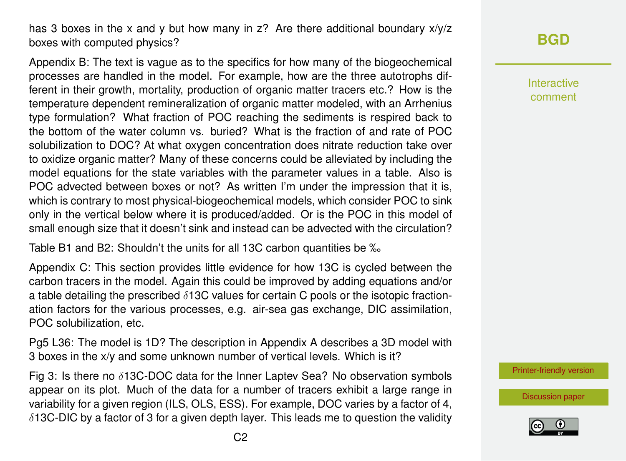has 3 boxes in the x and y but how many in z? Are there additional boundary  $x/y/z$ boxes with computed physics?

Appendix B: The text is vague as to the specifics for how many of the biogeochemical processes are handled in the model. For example, how are the three autotrophs different in their growth, mortality, production of organic matter tracers etc.? How is the temperature dependent remineralization of organic matter modeled, with an Arrhenius type formulation? What fraction of POC reaching the sediments is respired back to the bottom of the water column vs. buried? What is the fraction of and rate of POC solubilization to DOC? At what oxygen concentration does nitrate reduction take over to oxidize organic matter? Many of these concerns could be alleviated by including the model equations for the state variables with the parameter values in a table. Also is POC advected between boxes or not? As written I'm under the impression that it is, which is contrary to most physical-biogeochemical models, which consider POC to sink only in the vertical below where it is produced/added. Or is the POC in this model of small enough size that it doesn't sink and instead can be advected with the circulation?

Table B1 and B2: Shouldn't the units for all 13C carbon quantities be ‰

Appendix C: This section provides little evidence for how 13C is cycled between the carbon tracers in the model. Again this could be improved by adding equations and/or a table detailing the prescribed  $\delta$ 13C values for certain C pools or the isotopic fractionation factors for the various processes, e.g. air-sea gas exchange, DIC assimilation, POC solubilization, etc.

Pg5 L36: The model is 1D? The description in Appendix A describes a 3D model with 3 boxes in the x/y and some unknown number of vertical levels. Which is it?

Fig 3: Is there no  $\delta$ 13C-DOC data for the Inner Laptev Sea? No observation symbols appear on its plot. Much of the data for a number of tracers exhibit a large range in variability for a given region (ILS, OLS, ESS). For example, DOC varies by a factor of 4,  $\delta$ 13C-DIC by a factor of 3 for a given depth layer. This leads me to question the validity Interactive comment

[Printer-friendly version](http://www.biogeosciences-discuss.net/bg-2017-115/bg-2017-115-RC1-print.pdf)

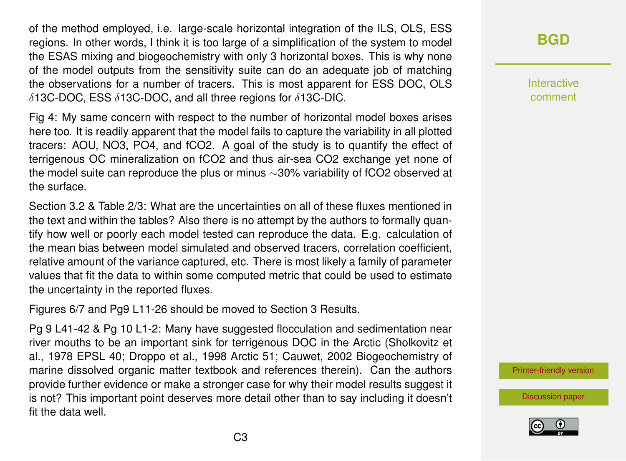of the method employed, i.e. large-scale horizontal integration of the ILS, OLS, ESS regions. In other words, I think it is too large of a simplification of the system to model the ESAS mixing and biogeochemistry with only 3 horizontal boxes. This is why none of the model outputs from the sensitivity suite can do an adequate job of matching the observations for a number of tracers. This is most apparent for ESS DOC, OLS δ13C-DOC, ESS δ13C-DOC, and all three regions for δ13C-DIC.

Fig 4: My same concern with respect to the number of horizontal model boxes arises here too. It is readily apparent that the model fails to capture the variability in all plotted tracers: AOU, NO3, PO4, and fCO2. A goal of the study is to quantify the effect of terrigenous OC mineralization on fCO2 and thus air-sea CO2 exchange yet none of the model suite can reproduce the plus or minus ∼30% variability of fCO2 observed at the surface.

Section 3.2 & Table 2/3: What are the uncertainties on all of these fluxes mentioned in the text and within the tables? Also there is no attempt by the authors to formally quantify how well or poorly each model tested can reproduce the data. E.g. calculation of the mean bias between model simulated and observed tracers, correlation coefficient, relative amount of the variance captured, etc. There is most likely a family of parameter values that fit the data to within some computed metric that could be used to estimate the uncertainty in the reported fluxes.

Figures 6/7 and Pg9 L11-26 should be moved to Section 3 Results.

Pg 9 L41-42 & Pg 10 L1-2: Many have suggested flocculation and sedimentation near river mouths to be an important sink for terrigenous DOC in the Arctic (Sholkovitz et al., 1978 EPSL 40; Droppo et al., 1998 Arctic 51; Cauwet, 2002 Biogeochemistry of marine dissolved organic matter textbook and references therein). Can the authors provide further evidence or make a stronger case for why their model results suggest it is not? This important point deserves more detail other than to say including it doesn't fit the data well.

## **[BGD](http://www.biogeosciences-discuss.net/)**

Interactive comment

[Printer-friendly version](http://www.biogeosciences-discuss.net/bg-2017-115/bg-2017-115-RC1-print.pdf)